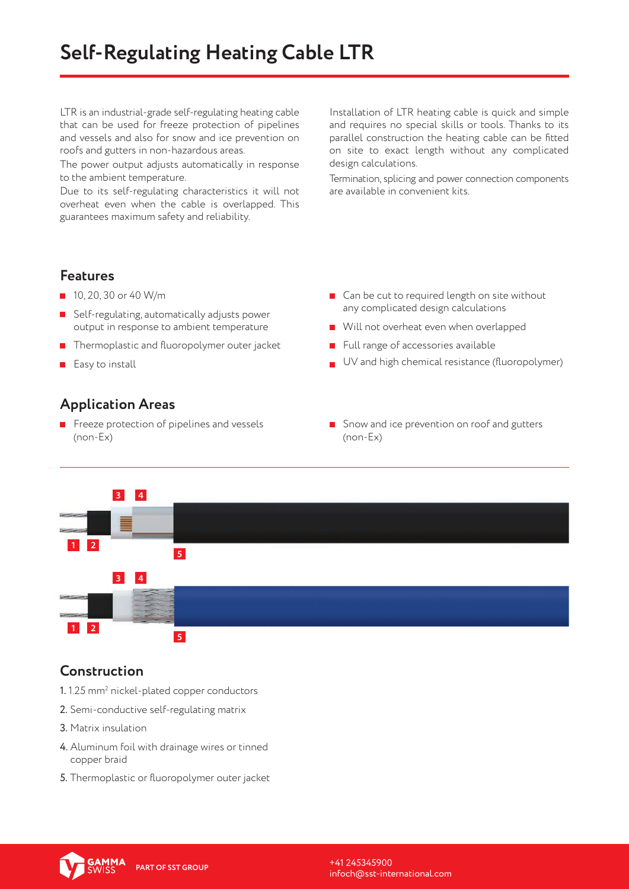LTR is an industrial-grade self-regulating heating cable that can be used for freeze protection of pipelines and vessels and also for snow and ice prevention on roofs and gutters in non-hazardous areas.

The power output adjusts automatically in response to the ambient temperature.

Due to its self-regulating characteristics it will not overheat even when the cable is overlapped. This guarantees maximum safety and reliability.

Installation of LTR heating cable is quick and simple and requires no special skills or tools. Thanks to its parallel construction the heating cable can be fitted on site to exact length without any complicated design calculations.

Termination, splicing and power connection components are available in convenient kits.

#### **Features**

- $10, 20, 30$  or 40 W/m
- Self-regulating, automatically adjusts power output in response to ambient temperature
- $\blacksquare$  Thermoplastic and fluoropolymer outer jacket
- $E$ asy to install

#### **Application Areas**

Freeze protection of pipelines and vessels (non-Ex)

- Can be cut to required length on site without any complicated design calculations
- Will not overheat even when overlapped
- Full range of accessories available
- $\Box$  UV and high chemical resistance (fluoropolymer)
- Snow and ice prevention on roof and gutters (non-Ex)



#### **Construction**

- $1.1$ .25 mm $^{\rm 2}$  nickel-plated copper conductors
- 2. Semi-conductive self-regulating matrix
- 3. Matrix insulation
- 4. Aluminum foil with drainage wires or tinned copper braid
- 5. Thermoplastic or fluoropolymer outer jacket